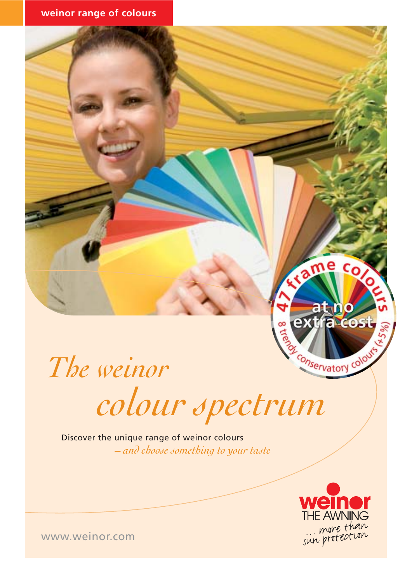

*The weinor colour spectrum*

Discover the unique range of weinor colours *– and choose something to your taste*



www.weinor.com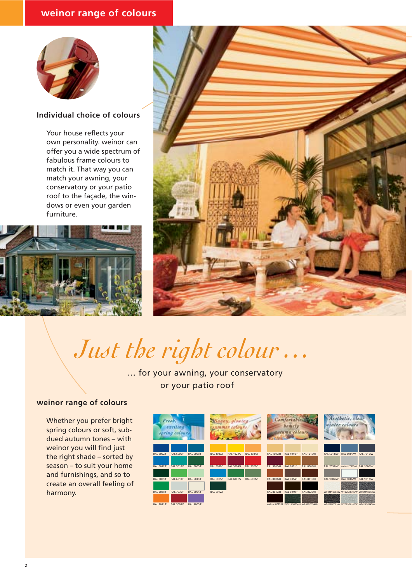### **weinor range of colours**



#### **Individual choice of colours**

Your house reflects your own personality. weinor can offer you a wide spectrum of fabulous frame colours to match it. That way you can match your awning, your conservatory or your patio roof to the façade, the windows or even your garden furniture.





*Just the right colour …*

… for your awning, your conservatory or your patio roof

#### **weinor range of colours**

Whether you prefer bright spring colours or soft, subdued autumn tones – with weinor you will find just the right shade – sorted by season – to suit your home and furnishings, and so to create an overall feeling of harmony.

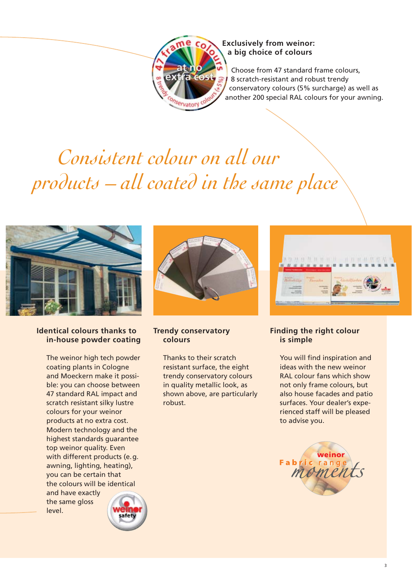

#### **Exclusively from weinor: a big choice of colours**

Choose from 47 standard frame colours, 8 scratch-resistant and robust trendy conservatory colours (5% surcharge) as well as another 200 special RAL colours for your awning.

# *Consistent colour on all our products – all coated in the same place*



#### **Identical colours thanks to in-house powder coating**

The weinor high tech powder coating plants in Cologne and Moeckern make it possible: you can choose between 47 standard RAL impact and scratch resistant silky lustre colours for your weinor products at no extra cost. Modern technology and the highest standards guarantee top weinor quality. Even with different products (e.g. awning, lighting, heating), you can be certain that the colours will be identical and have exactly the same gloss level.



#### **Trendy conservatory colours**

Thanks to their scratch resistant surface, the eight trendy conservatory colours in quality metallic look, as shown above, are particularly robust.



#### **Finding the right colour is simple**

You will find inspiration and ideas with the new weinor RAL colour fans which show not only frame colours, but also house facades and patio surfaces. Your dealer's experienced staff will be pleased to advise you.